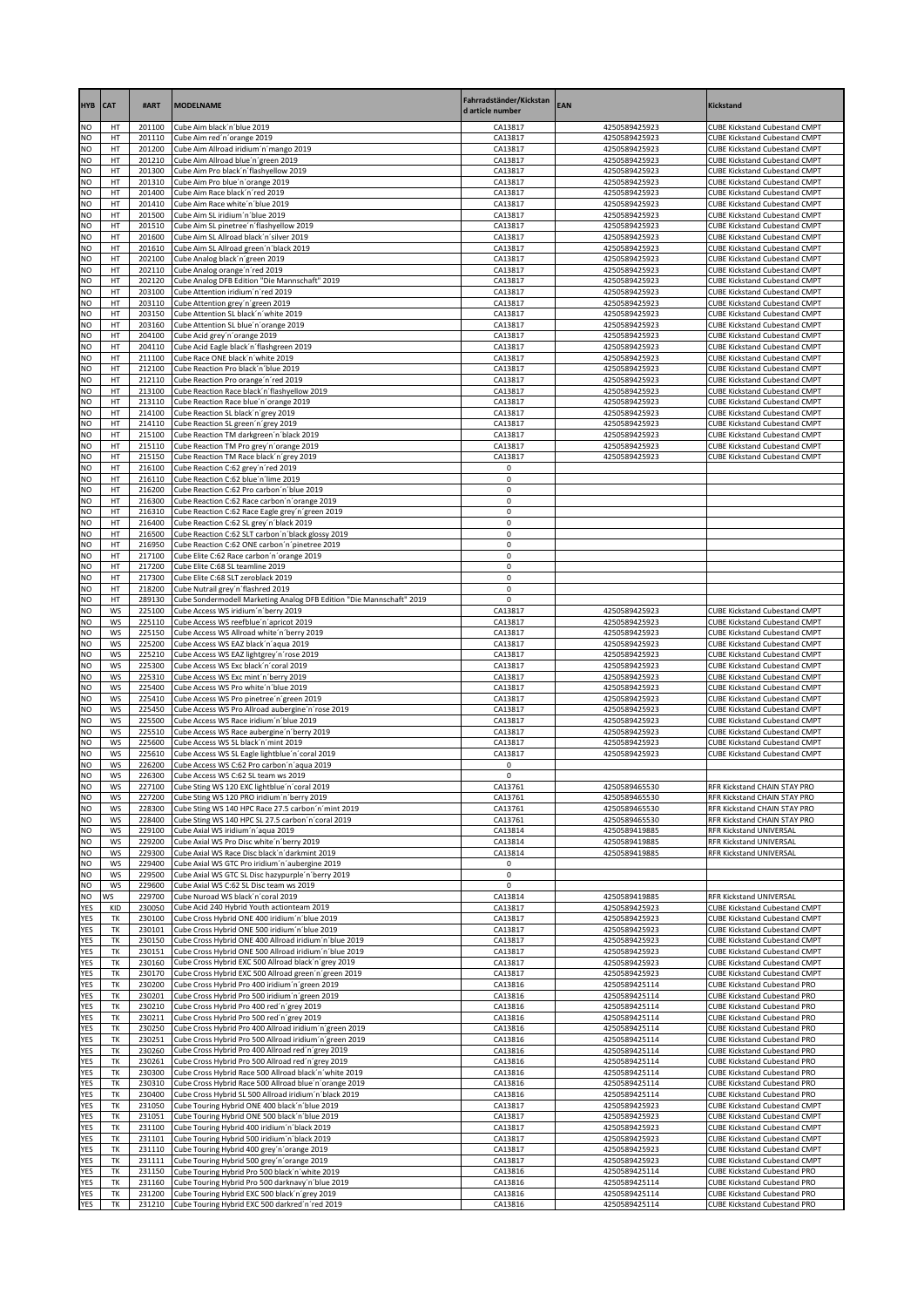| <b>HYB</b>             | <b>CAT</b>      | #ART             | <b>MODELNAME</b>                                                                                             | Fahrradständer/Kickstan<br>d article number | EAN                            | <b>Kickstand</b>                                                             |
|------------------------|-----------------|------------------|--------------------------------------------------------------------------------------------------------------|---------------------------------------------|--------------------------------|------------------------------------------------------------------------------|
| NO                     | HT              | 201100           | Cube Aim black'n'blue 2019                                                                                   | CA13817                                     | 4250589425923                  | <b>CUBE Kickstand Cubestand CMPT</b>                                         |
| N <sub>O</sub>         | HT              | 201110           | Cube Aim red'n'orange 2019                                                                                   | CA13817                                     | 4250589425923                  | <b>CUBE Kickstand Cubestand CMPT</b>                                         |
| NO<br>NO               | HT<br>HT        | 201200<br>201210 | Cube Aim Allroad iridium'n'mango 2019<br>Cube Aim Allroad blue'n'green 2019                                  | CA13817<br>CA13817                          | 4250589425923<br>4250589425923 | <b>CUBE Kickstand Cubestand CMPT</b><br><b>CUBE Kickstand Cubestand CMPT</b> |
| NO                     | HT              | 201300           | Cube Aim Pro black'n'flashyellow 2019                                                                        | CA13817                                     | 4250589425923                  | <b>CUBE Kickstand Cubestand CMPT</b>                                         |
| NO                     | HT              | 201310           | Cube Aim Pro blue'n'orange 2019                                                                              | CA13817                                     | 4250589425923                  | <b>CUBE Kickstand Cubestand CMPT</b>                                         |
| NO                     | HT              | 201400           | Cube Aim Race black'n'red 2019                                                                               | CA13817                                     | 4250589425923                  | <b>CUBE Kickstand Cubestand CMPT</b>                                         |
| NO<br><b>NO</b>        | HT<br>HT        | 201410<br>201500 | Cube Aim Race white'n'blue 2019<br>Cube Aim SL iridium'n'blue 2019                                           | CA13817<br>CA13817                          | 4250589425923<br>4250589425923 | <b>CUBE Kickstand Cubestand CMPT</b><br><b>CUBE Kickstand Cubestand CMPT</b> |
| NO                     | HT              | 201510           | Cube Aim SL pinetree'n'flashyellow 2019                                                                      | CA13817                                     | 4250589425923                  | <b>CUBE Kickstand Cubestand CMPT</b>                                         |
| NO                     | HT              | 201600           | Cube Aim SL Allroad black'n'silver 2019                                                                      | CA13817                                     | 4250589425923                  | <b>CUBE Kickstand Cubestand CMPT</b>                                         |
| NO<br>NO               | HT              | 201610           | Cube Aim SL Allroad green'n'black 2019                                                                       | CA13817                                     | 4250589425923                  | <b>CUBE Kickstand Cubestand CMPT</b>                                         |
| NO                     | HT<br>HT        | 202100<br>202110 | Cube Analog black'n'green 2019<br>Cube Analog orange'n'red 2019                                              | CA13817<br>CA13817                          | 4250589425923<br>4250589425923 | <b>CUBE Kickstand Cubestand CMPT</b><br><b>CUBE Kickstand Cubestand CMPT</b> |
| NO                     | HT              | 202120           | Cube Analog DFB Edition "Die Mannschaft" 2019                                                                | CA13817                                     | 4250589425923                  | <b>CUBE Kickstand Cubestand CMPT</b>                                         |
| NO                     | HT              | 203100           | Cube Attention iridium'n'red 2019                                                                            | CA13817                                     | 4250589425923                  | <b>CUBE Kickstand Cubestand CMPT</b>                                         |
| NO<br>NO               | HT<br>HT        | 203110<br>203150 | Cube Attention grey'n'green 2019<br>Cube Attention SL black'n'white 2019                                     | CA13817<br>CA13817                          | 4250589425923<br>4250589425923 | <b>CUBE Kickstand Cubestand CMPT</b><br><b>CUBE Kickstand Cubestand CMPT</b> |
| NO                     | HT              | 203160           | Cube Attention SL blue'n'orange 2019                                                                         | CA13817                                     | 4250589425923                  | <b>CUBE Kickstand Cubestand CMPT</b>                                         |
| NO                     | HT              | 204100           | Cube Acid grey'n'orange 2019                                                                                 | CA13817                                     | 4250589425923                  | <b>CUBE Kickstand Cubestand CMPT</b>                                         |
| NO                     | HT              | 204110           | Cube Acid Eagle black'n'flashgreen 2019                                                                      | CA13817                                     | 4250589425923                  | <b>CUBE Kickstand Cubestand CMPT</b>                                         |
| NO<br><b>NO</b>        | HT<br>HT        | 211100<br>212100 | Cube Race ONE black'n' white 2019<br>Cube Reaction Pro black'n'blue 2019                                     | CA13817<br>CA13817                          | 4250589425923<br>4250589425923 | <b>CUBE Kickstand Cubestand CMPT</b><br><b>CUBE Kickstand Cubestand CMPT</b> |
| NO                     | HT              | 212110           | Cube Reaction Pro orange'n'red 2019                                                                          | CA13817                                     | 4250589425923                  | <b>CUBE Kickstand Cubestand CMPT</b>                                         |
| NO                     | HT              | 213100           | Cube Reaction Race black'n'flashyellow 2019                                                                  | CA13817                                     | 4250589425923                  | <b>CUBE Kickstand Cubestand CMPT</b>                                         |
| NO                     | HT              | 213110           | Cube Reaction Race blue'n'orange 2019                                                                        | CA13817                                     | 4250589425923                  | <b>CUBE Kickstand Cubestand CMPT</b>                                         |
| NO<br>NO               | HT<br>HT        | 214100<br>214110 | Cube Reaction SL black'n'grey 2019<br>Cube Reaction SL green'n'grey 2019                                     | CA13817<br>CA13817                          | 4250589425923<br>4250589425923 | <b>CUBE Kickstand Cubestand CMPT</b><br><b>CUBE Kickstand Cubestand CMPT</b> |
| NO                     | HT              | 215100           | Cube Reaction TM darkgreen'n'black 2019                                                                      | CA13817                                     | 4250589425923                  | <b>CUBE Kickstand Cubestand CMPT</b>                                         |
| NO                     | HT              | 215110           | Cube Reaction TM Pro grey'n'orange 2019                                                                      | CA13817                                     | 4250589425923                  | <b>CUBE Kickstand Cubestand CMPT</b>                                         |
| NO<br>NO               | HT<br>HT        | 215150<br>216100 | Cube Reaction TM Race black'n'grey 2019<br>Cube Reaction C:62 grey'n'red 2019                                | CA13817<br>0                                | 4250589425923                  | <b>CUBE Kickstand Cubestand CMPT</b>                                         |
| NO                     | HT              | 216110           | Cube Reaction C:62 blue'n'lime 2019                                                                          | 0                                           |                                |                                                                              |
| NO                     | HT              | 216200           | Cube Reaction C:62 Pro carbon'n'blue 2019                                                                    | 0                                           |                                |                                                                              |
| NO                     | HT              | 216300           | Cube Reaction C:62 Race carbon'n'orange 2019                                                                 | 0                                           |                                |                                                                              |
| NO<br>NO               | HT<br>HT        | 216310<br>216400 | Cube Reaction C:62 Race Eagle grey'n' green 2019<br>Cube Reaction C:62 SL grey'n'black 2019                  | 0<br>0                                      |                                |                                                                              |
| NO                     | HT              | 216500           | Cube Reaction C:62 SLT carbon'n'black glossy 2019                                                            | 0                                           |                                |                                                                              |
| NO                     | HT              | 216950           | Cube Reaction C:62 ONE carbon'n'pinetree 2019                                                                | 0                                           |                                |                                                                              |
| NO<br>NO               | HT<br>HT        | 217100<br>217200 | Cube Elite C:62 Race carbon'n'orange 2019<br>Cube Elite C:68 SL teamline 2019                                | 0<br>0                                      |                                |                                                                              |
| NO                     | HT              | 217300           | Cube Elite C:68 SLT zeroblack 2019                                                                           | $\mathsf 0$                                 |                                |                                                                              |
| NO                     | HT              | 218200           | Cube Nutrail grey'n'flashred 2019                                                                            | 0                                           |                                |                                                                              |
| NO                     | HT              | 289130           | Cube Sondermodell Marketing Analog DFB Edition "Die Mannschaft" 2019                                         | 0                                           |                                |                                                                              |
| NO<br>NO               | WS<br><b>WS</b> | 225100<br>225110 | Cube Access WS iridium'n'berry 2019<br>Cube Access WS reefblue'n'apricot 2019                                | CA13817<br>CA13817                          | 4250589425923<br>4250589425923 | <b>CUBE Kickstand Cubestand CMPT</b><br><b>CUBE Kickstand Cubestand CMPT</b> |
| NO                     | WS              | 225150           | Cube Access WS Allroad white'n'berry 2019                                                                    | CA13817                                     | 4250589425923                  | <b>CUBE Kickstand Cubestand CMPT</b>                                         |
| <b>NO</b>              | WS              | 225200           | Cube Access WS EAZ black'n'aqua 2019                                                                         | CA13817                                     | 4250589425923                  | <b>CUBE Kickstand Cubestand CMPT</b>                                         |
| NO<br>NO               | WS              | 225210           | Cube Access WS EAZ lightgrey'n'rose 2019                                                                     | CA13817                                     | 4250589425923                  | <b>CUBE Kickstand Cubestand CMPT</b>                                         |
| NO                     | WS<br>WS        | 225300<br>225310 | Cube Access WS Exc black'n'coral 2019<br>Cube Access WS Exc mint'n'berry 2019                                | CA13817<br>CA13817                          | 4250589425923<br>4250589425923 | <b>CUBE Kickstand Cubestand CMPT</b><br><b>CUBE Kickstand Cubestand CMPT</b> |
| NO                     | WS              | 225400           | Cube Access WS Pro white'n'blue 2019                                                                         | CA13817                                     | 4250589425923                  | <b>CUBE Kickstand Cubestand CMPT</b>                                         |
| NO                     | WS              | 225410           | Cube Access WS Pro pinetree'n'green 2019                                                                     | CA13817                                     | 4250589425923                  | <b>CUBE Kickstand Cubestand CMPT</b>                                         |
| NO<br><b>NO</b>        | <b>WS</b><br>WS | 225450<br>225500 | Cube Access WS Pro Allroad aubergine'n'rose 2019<br>Cube Access WS Race iridium'n'blue 2019                  | CA13817<br>CA13817                          | 4250589425923<br>4250589425923 | <b>CUBE Kickstand Cubestand CMPT</b><br><b>CUBE Kickstand Cubestand CMPT</b> |
| NO                     | WS              | 225510           | Cube Access WS Race aubergine'n'berry 2019                                                                   | CA13817                                     | 4250589425923                  | <b>CUBE Kickstand Cubestand CMPT</b>                                         |
| NO                     | <b>WS</b>       | 225600           | Cube Access WS SL black'n'mint 2019                                                                          | CA13817                                     | 4250589425923                  | <b>CUBE Kickstand Cubestand CMPT</b>                                         |
| NO<br>NO               | WS<br><b>WS</b> | 225610<br>226200 | Cube Access WS SL Eagle lightblue'n'coral 2019<br>Cube Access WS C:62 Pro carbon'n'aqua 2019                 | CA13817<br>0                                | 4250589425923                  | <b>CUBE Kickstand Cubestand CMPT</b>                                         |
| <b>NO</b>              | WS              | 226300           | Cube Access WS C:62 SL team ws 2019                                                                          | 0                                           |                                |                                                                              |
| NO.                    | ws              | 227100           | Cube Sting WS 120 EXC lightblue'n' coral 2019                                                                | CA13761                                     | 4250589465530                  | RFR Kickstand CHAIN STAY PRO                                                 |
| <b>NO</b><br><b>NO</b> | WS<br>WS        | 227200           | Cube Sting WS 120 PRO iridium'n'berry 2019                                                                   | CA13761                                     | 4250589465530                  | RFR Kickstand CHAIN STAY PRO                                                 |
| NO                     | WS              | 228300<br>228400 | Cube Sting WS 140 HPC Race 27.5 carbon'n'mint 2019<br>Cube Sting WS 140 HPC SL 27.5 carbon'n'coral 2019      | CA13761<br>CA13761                          | 4250589465530<br>4250589465530 | RFR Kickstand CHAIN STAY PRO<br>RFR Kickstand CHAIN STAY PRO                 |
| <b>NO</b>              | WS              | 229100           | Cube Axial WS iridium'n'aqua 2019                                                                            | CA13814                                     | 4250589419885                  | RFR Kickstand UNIVERSAL                                                      |
| NO                     | WS              | 229200           | Cube Axial WS Pro Disc white'n'berry 2019                                                                    | CA13814                                     | 4250589419885                  | RFR Kickstand UNIVERSAL                                                      |
| <b>NO</b><br>NO        | WS<br>WS        | 229300<br>229400 | Cube Axial WS Race Disc black'n'darkmint 2019<br>Cube Axial WS GTC Pro iridium'n'aubergine 2019              | CA13814<br>0                                | 4250589419885                  | RFR Kickstand UNIVERSAL                                                      |
| <b>NO</b>              | WS              | 229500           | Cube Axial WS GTC SL Disc hazypurple'n'berry 2019                                                            | 0                                           |                                |                                                                              |
| NO                     | WS              | 229600           | Cube Axial WS C:62 SL Disc team ws 2019                                                                      | 0                                           |                                |                                                                              |
| NO                     | ws              | 229700           | Cube Nuroad WS black'n'coral 2019                                                                            | CA13814                                     | 4250589419885                  | RFR Kickstand UNIVERSAL                                                      |
| <b>YES</b><br>YES      | KID<br>TK       | 230050<br>230100 | Cube Acid 240 Hybrid Youth actionteam 2019<br>Cube Cross Hybrid ONE 400 iridium'n'blue 2019                  | CA13817<br>CA13817                          | 4250589425923<br>4250589425923 | <b>CUBE Kickstand Cubestand CMPT</b><br><b>CUBE Kickstand Cubestand CMPT</b> |
| YES                    | TK              | 230101           | Cube Cross Hybrid ONE 500 iridium'n'blue 2019                                                                | CA13817                                     | 4250589425923                  | <b>CUBE Kickstand Cubestand CMPT</b>                                         |
| YES                    | TK              | 230150           | Cube Cross Hybrid ONE 400 Allroad iridium'n'blue 2019                                                        | CA13817                                     | 4250589425923                  | <b>CUBE Kickstand Cubestand CMPT</b>                                         |
| <b>YES</b><br>YES      | TK<br>TK        | 230151<br>230160 | Cube Cross Hybrid ONE 500 Allroad iridium'n'blue 2019<br>Cube Cross Hybrid EXC 500 Allroad black'n'grey 2019 | CA13817<br>CA13817                          | 4250589425923<br>4250589425923 | <b>CUBE Kickstand Cubestand CMPT</b><br><b>CUBE Kickstand Cubestand CMPT</b> |
| YES                    | TK              | 230170           | Cube Cross Hybrid EXC 500 Allroad green'n'green 2019                                                         | CA13817                                     | 4250589425923                  | <b>CUBE Kickstand Cubestand CMPT</b>                                         |
| <b>YES</b>             | TK              | 230200           | Cube Cross Hybrid Pro 400 iridium'n'green 2019                                                               | CA13816                                     | 4250589425114                  | <b>CUBE Kickstand Cubestand PRO</b>                                          |
| YES                    | TK<br>TK        | 230201<br>230210 | Cube Cross Hybrid Pro 500 iridium'n'green 2019                                                               | CA13816                                     | 4250589425114                  | <b>CUBE Kickstand Cubestand PRO</b>                                          |
| YES<br>YES             | TK              | 230211           | Cube Cross Hybrid Pro 400 red'n'grey 2019<br>Cube Cross Hybrid Pro 500 red'n'grey 2019                       | CA13816<br>CA13816                          | 4250589425114<br>4250589425114 | <b>CUBE Kickstand Cubestand PRO</b><br><b>CUBE Kickstand Cubestand PRO</b>   |
| YES                    | TK              | 230250           | Cube Cross Hybrid Pro 400 Allroad iridium'n'green 2019                                                       | CA13816                                     | 4250589425114                  | <b>CUBE Kickstand Cubestand PRO</b>                                          |
| YES                    | TK              | 230251           | Cube Cross Hybrid Pro 500 Allroad iridium'n'green 2019                                                       | CA13816                                     | 4250589425114                  | <b>CUBE Kickstand Cubestand PRO</b>                                          |
| YES<br>YES             | TK<br>TK        | 230260<br>230261 | Cube Cross Hybrid Pro 400 Allroad red'n'grey 2019<br>Cube Cross Hybrid Pro 500 Allroad red'n'grey 2019       | CA13816<br>CA13816                          | 4250589425114<br>4250589425114 | <b>CUBE Kickstand Cubestand PRO</b><br><b>CUBE Kickstand Cubestand PRO</b>   |
| YES                    | TK              | 230300           | Cube Cross Hybrid Race 500 Allroad black'n'white 2019                                                        | CA13816                                     | 4250589425114                  | <b>CUBE Kickstand Cubestand PRO</b>                                          |
| YES                    | TK              | 230310           | Cube Cross Hybrid Race 500 Allroad blue'n'orange 2019                                                        | CA13816                                     | 4250589425114                  | <b>CUBE Kickstand Cubestand PRO</b>                                          |
| YES                    | TK              | 230400           | Cube Cross Hybrid SL 500 Allroad iridium'n'black 2019                                                        | CA13816                                     | 4250589425114                  | <b>CUBE Kickstand Cubestand PRO</b>                                          |
| YES<br>YES             | TK<br>TK        | 231050<br>231051 | Cube Touring Hybrid ONE 400 black'n'blue 2019<br>Cube Touring Hybrid ONE 500 black'n'blue 2019               | CA13817<br>CA13817                          | 4250589425923<br>4250589425923 | <b>CUBE Kickstand Cubestand CMPT</b><br><b>CUBE Kickstand Cubestand CMPT</b> |
| <b>YES</b>             | TK              | 231100           | Cube Touring Hybrid 400 iridium'n'black 2019                                                                 | CA13817                                     | 4250589425923                  | <b>CUBE Kickstand Cubestand CMPT</b>                                         |
| YES                    | TK              | 231101           | Cube Touring Hybrid 500 iridium'n'black 2019                                                                 | CA13817                                     | 4250589425923                  | <b>CUBE Kickstand Cubestand CMPT</b>                                         |
| <b>YES</b><br>YES      | TK<br>TK        | 231110<br>231111 | Cube Touring Hybrid 400 grey'n'orange 2019<br>Cube Touring Hybrid 500 grey'n'orange 2019                     | CA13817<br>CA13817                          | 4250589425923<br>4250589425923 | <b>CUBE Kickstand Cubestand CMPT</b><br><b>CUBE Kickstand Cubestand CMPT</b> |
| YES                    | ТK              | 231150           | Cube Touring Hybrid Pro 500 black'n'white 2019                                                               | CA13816                                     | 4250589425114                  | <b>CUBE Kickstand Cubestand PRO</b>                                          |
| <b>YES</b>             | TK              | 231160           | Cube Touring Hybrid Pro 500 darknavy'n'blue 2019                                                             | CA13816                                     | 4250589425114                  | <b>CUBE Kickstand Cubestand PRO</b>                                          |
| YES<br>YES             | TK<br>TK        | 231200<br>231210 | Cube Touring Hybrid EXC 500 black'n'grey 2019<br>Cube Touring Hybrid EXC 500 darkred'n'red 2019              | CA13816<br>CA13816                          | 4250589425114<br>4250589425114 | <b>CUBE Kickstand Cubestand PRO</b><br><b>CUBE Kickstand Cubestand PRO</b>   |
|                        |                 |                  |                                                                                                              |                                             |                                |                                                                              |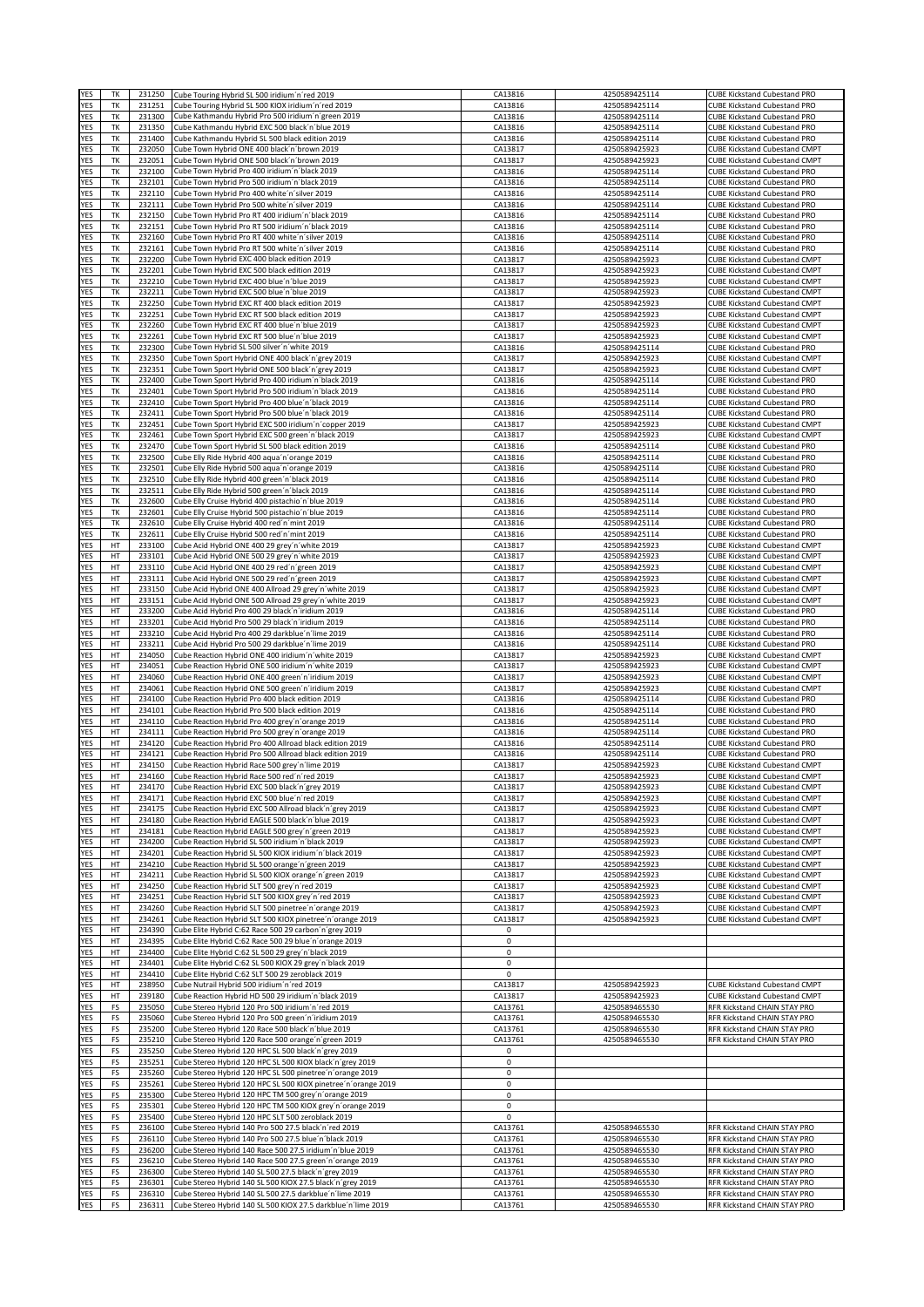| YES                      | TK       | 231250           | Cube Touring Hybrid SL 500 iridium'n'red 2019                                                                     | CA13816            | 4250589425114                  | <b>CUBE Kickstand Cubestand PRO</b>                                          |
|--------------------------|----------|------------------|-------------------------------------------------------------------------------------------------------------------|--------------------|--------------------------------|------------------------------------------------------------------------------|
| YES                      | ТK       | 231251           | Cube Touring Hybrid SL 500 KIOX iridium'n'red 2019                                                                | CA13816            | 4250589425114                  | <b>CUBE Kickstand Cubestand PRO</b>                                          |
| YES<br>YES               | TK<br>TK | 231300<br>231350 | Cube Kathmandu Hybrid Pro 500 iridium'n'green 2019<br>Cube Kathmandu Hybrid EXC 500 black'n'blue 2019             | CA13816<br>CA13816 | 4250589425114<br>4250589425114 | <b>CUBE Kickstand Cubestand PRO</b><br><b>CUBE Kickstand Cubestand PRO</b>   |
| YES                      | ТK       | 231400           | Cube Kathmandu Hybrid SL 500 black edition 2019                                                                   | CA13816            | 4250589425114                  | <b>CUBE Kickstand Cubestand PRO</b>                                          |
| YES                      | TK       | 232050           | Cube Town Hybrid ONE 400 black'n'brown 2019                                                                       | CA13817            | 4250589425923                  | <b>CUBE Kickstand Cubestand CMPT</b>                                         |
| YES                      | TK       | 232051           | Cube Town Hybrid ONE 500 black'n'brown 2019                                                                       | CA13817            | 4250589425923                  | <b>CUBE Kickstand Cubestand CMPT</b>                                         |
| YES                      | TK       | 232100           | Cube Town Hybrid Pro 400 iridium'n'black 2019                                                                     | CA13816            | 4250589425114                  | <b>CUBE Kickstand Cubestand PRO</b>                                          |
| <b>YES</b><br><b>YES</b> | TK<br>TK | 232101<br>232110 | Cube Town Hybrid Pro 500 iridium'n'black 2019<br>Cube Town Hybrid Pro 400 white'n'silver 2019                     | CA13816<br>CA13816 | 4250589425114<br>4250589425114 | <b>CUBE Kickstand Cubestand PRO</b><br><b>CUBE Kickstand Cubestand PRO</b>   |
| YES                      | ТK       | 232111           | Cube Town Hybrid Pro 500 white'n'silver 2019                                                                      | CA13816            | 4250589425114                  | <b>CUBE Kickstand Cubestand PRO</b>                                          |
| YES                      | TK       | 232150           | Cube Town Hybrid Pro RT 400 iridium'n'black 2019                                                                  | CA13816            | 4250589425114                  | <b>CUBE Kickstand Cubestand PRO</b>                                          |
| YES                      | TK       | 232151           | Cube Town Hybrid Pro RT 500 iridium'n'black 2019                                                                  | CA13816            | 4250589425114                  | <b>CUBE Kickstand Cubestand PRO</b>                                          |
| YES                      | TK       | 232160           | Cube Town Hybrid Pro RT 400 white'n'silver 2019                                                                   | CA13816            | 4250589425114                  | <b>CUBE Kickstand Cubestand PRO</b>                                          |
| YES<br>YES               | TK<br>ТK | 232161<br>232200 | Cube Town Hybrid Pro RT 500 white'n'silver 2019<br>Cube Town Hybrid EXC 400 black edition 2019                    | CA13816            | 4250589425114<br>4250589425923 | <b>CUBE Kickstand Cubestand PRO</b><br><b>CUBE Kickstand Cubestand CMPT</b>  |
| YES                      | TK       | 232201           | Cube Town Hybrid EXC 500 black edition 2019                                                                       | CA13817<br>CA13817 | 4250589425923                  | <b>CUBE Kickstand Cubestand CMPT</b>                                         |
| YES                      | ТK       | 232210           | Cube Town Hybrid EXC 400 blue'n'blue 2019                                                                         | CA13817            | 4250589425923                  | <b>CUBE Kickstand Cubestand CMPT</b>                                         |
| <b>YES</b>               | TK       | 232211           | Cube Town Hybrid EXC 500 blue'n'blue 2019                                                                         | CA13817            | 4250589425923                  | <b>CUBE Kickstand Cubestand CMPT</b>                                         |
| YES                      | TK       | 232250           | Cube Town Hybrid EXC RT 400 black edition 2019                                                                    | CA13817            | 4250589425923                  | <b>CUBE Kickstand Cubestand CMPT</b>                                         |
| YES<br>YES               | TK<br>ТK | 232251<br>232260 | Cube Town Hybrid EXC RT 500 black edition 2019<br>Cube Town Hybrid EXC RT 400 blue'n'blue 2019                    | CA13817<br>CA13817 | 4250589425923<br>4250589425923 | <b>CUBE Kickstand Cubestand CMPT</b><br><b>CUBE Kickstand Cubestand CMPT</b> |
| YES                      | TK       | 232261           | Cube Town Hybrid EXC RT 500 blue'n'blue 2019                                                                      | CA13817            | 4250589425923                  | <b>CUBE Kickstand Cubestand CMPT</b>                                         |
| YES                      | TK       | 232300           | Cube Town Hybrid SL 500 silver'n'white 2019                                                                       | CA13816            | 4250589425114                  | <b>CUBE Kickstand Cubestand PRO</b>                                          |
| YES                      | TK       | 232350           | Cube Town Sport Hybrid ONE 400 black'n'grey 2019                                                                  | CA13817            | 4250589425923                  | <b>CUBE Kickstand Cubestand CMPT</b>                                         |
| YES                      | TK       | 232351           | Cube Town Sport Hybrid ONE 500 black'n'grey 2019                                                                  | CA13817            | 4250589425923                  | <b>CUBE Kickstand Cubestand CMPT</b>                                         |
| <b>YES</b><br>YES        | ТK<br>ТK | 232400<br>232401 | Cube Town Sport Hybrid Pro 400 iridium'n'black 2019<br>Cube Town Sport Hybrid Pro 500 iridium'n'black 2019        | CA13816<br>CA13816 | 4250589425114<br>4250589425114 | <b>CUBE Kickstand Cubestand PRO</b><br><b>CUBE Kickstand Cubestand PRO</b>   |
| YES                      | TK       | 232410           | Cube Town Sport Hybrid Pro 400 blue'n'black 2019                                                                  | CA13816            | 4250589425114                  | <b>CUBE Kickstand Cubestand PRO</b>                                          |
| YES                      | TK       | 232411           | Cube Town Sport Hybrid Pro 500 blue'n'black 2019                                                                  | CA13816            | 4250589425114                  | <b>CUBE Kickstand Cubestand PRO</b>                                          |
| YES                      | TK       | 232451           | Cube Town Sport Hybrid EXC 500 iridium'n'copper 2019                                                              | CA13817            | 4250589425923                  | <b>CUBE Kickstand Cubestand CMPT</b>                                         |
| YES                      | ТK       | 232461           | Cube Town Sport Hybrid EXC 500 green'n'black 2019                                                                 | CA13817            | 4250589425923                  | <b>CUBE Kickstand Cubestand CMPT</b>                                         |
| YES<br>YES               | ТK<br>TK | 232470<br>232500 | Cube Town Sport Hybrid SL 500 black edition 2019<br>Cube Elly Ride Hybrid 400 aqua'n'orange 2019                  | CA13816<br>CA13816 | 4250589425114<br>4250589425114 | <b>CUBE Kickstand Cubestand PRO</b><br><b>CUBE Kickstand Cubestand PRO</b>   |
| YES                      | ТK       | 232501           | Cube Elly Ride Hybrid 500 aqua'n'orange 2019                                                                      | CA13816            | 4250589425114                  | <b>CUBE Kickstand Cubestand PRO</b>                                          |
| <b>YES</b>               | ТK       | 232510           | Cube Elly Ride Hybrid 400 green'n'black 2019                                                                      | CA13816            | 4250589425114                  | <b>CUBE Kickstand Cubestand PRO</b>                                          |
| YES                      | TK       | 232511           | Cube Elly Ride Hybrid 500 green'n'black 2019                                                                      | CA13816            | 4250589425114                  | <b>CUBE Kickstand Cubestand PRO</b>                                          |
| YES                      | TK       | 232600           | Cube Elly Cruise Hybrid 400 pistachio'n'blue 2019                                                                 | CA13816            | 4250589425114                  | <b>CUBE Kickstand Cubestand PRO</b>                                          |
| YES<br>YES               | TK<br>TK | 232601<br>232610 | Cube Elly Cruise Hybrid 500 pistachio'n'blue 2019<br>Cube Elly Cruise Hybrid 400 red'n'mint 2019                  | CA13816<br>CA13816 | 4250589425114<br>4250589425114 | <b>CUBE Kickstand Cubestand PRO</b><br><b>CUBE Kickstand Cubestand PRO</b>   |
| YES                      | TK       | 232611           | Cube Elly Cruise Hybrid 500 red'n'mint 2019                                                                       | CA13816            | 4250589425114                  | <b>CUBE Kickstand Cubestand PRO</b>                                          |
| YES                      | HT       | 233100           | Cube Acid Hybrid ONE 400 29 grey'n'white 2019                                                                     | CA13817            | 4250589425923                  | <b>CUBE Kickstand Cubestand CMPT</b>                                         |
| YES                      | HT       | 233101           | Cube Acid Hybrid ONE 500 29 grey'n'white 2019                                                                     | CA13817            | 4250589425923                  | <b>CUBE Kickstand Cubestand CMPT</b>                                         |
| YES                      | HT       | 233110           | Cube Acid Hybrid ONE 400 29 red'n'green 2019                                                                      | CA13817            | 4250589425923                  | <b>CUBE Kickstand Cubestand CMPT</b>                                         |
| YES<br>YES               | HT<br>HT | 233111<br>233150 | Cube Acid Hybrid ONE 500 29 red'n'green 2019<br>Cube Acid Hybrid ONE 400 Allroad 29 grey'n'white 2019             | CA13817<br>CA13817 | 4250589425923<br>4250589425923 | <b>CUBE Kickstand Cubestand CMPT</b><br><b>CUBE Kickstand Cubestand CMPT</b> |
| YES                      | HT       | 233151           | Cube Acid Hybrid ONE 500 Allroad 29 grey'n'white 2019                                                             | CA13817            | 4250589425923                  | <b>CUBE Kickstand Cubestand CMPT</b>                                         |
| YES                      | HT       | 233200           | Cube Acid Hybrid Pro 400 29 black'n'iridium 2019                                                                  | CA13816            | 4250589425114                  | <b>CUBE Kickstand Cubestand PRO</b>                                          |
| YES                      | HT       | 233201           | Cube Acid Hybrid Pro 500 29 black'n'iridium 2019                                                                  | CA13816            | 4250589425114                  | <b>CUBE Kickstand Cubestand PRO</b>                                          |
| YES                      | HT       | 233210           | Cube Acid Hybrid Pro 400 29 darkblue'n'lime 2019                                                                  | CA13816            | 4250589425114                  | <b>CUBE Kickstand Cubestand PRO</b>                                          |
| YES<br><b>YES</b>        | HT<br>HT | 233211<br>234050 | Cube Acid Hybrid Pro 500 29 darkblue'n'lime 2019<br>Cube Reaction Hybrid ONE 400 iridium'n'white 2019             | CA13816<br>CA13817 | 4250589425114<br>4250589425923 | <b>CUBE Kickstand Cubestand PRO</b><br><b>CUBE Kickstand Cubestand CMPT</b>  |
| YES                      | HT       | 234051           | Cube Reaction Hybrid ONE 500 iridium'n'white 2019                                                                 | CA13817            | 4250589425923                  | <b>CUBE Kickstand Cubestand CMPT</b>                                         |
| YES                      | HT       | 234060           | Cube Reaction Hybrid ONE 400 green'n'iridium 2019                                                                 | CA13817            | 4250589425923                  | <b>CUBE Kickstand Cubestand CMPT</b>                                         |
| YES                      | HT       | 234061           | Cube Reaction Hybrid ONE 500 green'n'iridium 2019                                                                 | CA13817            | 4250589425923                  | <b>CUBE Kickstand Cubestand CMPT</b>                                         |
| YES                      | HT       | 234100           | Cube Reaction Hybrid Pro 400 black edition 2019                                                                   | CA13816            | 4250589425114                  | <b>CUBE Kickstand Cubestand PRO</b>                                          |
| YES<br>YES               | HT<br>HT | 234101<br>234110 | Cube Reaction Hybrid Pro 500 black edition 2019<br>Cube Reaction Hybrid Pro 400 grey'n'orange 2019                | CA13816<br>CA13816 | 4250589425114<br>4250589425114 | <b>CUBE Kickstand Cubestand PRO</b><br><b>CUBE Kickstand Cubestand PRO</b>   |
| YES                      | HT       | 234111           | Cube Reaction Hybrid Pro 500 grey'n' orange 2019                                                                  | CA13816            | 4250589425114                  | <b>CUBE Kickstand Cubestand PRO</b>                                          |
| YES                      | HT       | 234120           | Cube Reaction Hybrid Pro 400 Allroad black edition 2019                                                           | CA13816            | 4250589425114                  | <b>CUBE Kickstand Cubestand PRO</b>                                          |
| YES                      | HT       | 234121           | Cube Reaction Hybrid Pro 500 Allroad black edition 2019                                                           | CA13816            | 4250589425114                  | <b>CUBE Kickstand Cubestand PRO</b>                                          |
| YES                      | HT       | 234150           | Cube Reaction Hybrid Race 500 grey'n'lime 2019                                                                    | CA13817            | 4250589425923                  | <b>CUBE Kickstand Cubestand CMPT</b>                                         |
| YES                      | HT<br>HT | 234160<br>234170 | Cube Reaction Hybrid Race 500 red'n'red 2019                                                                      | CA13817<br>CA13817 | 4250589425923<br>4250589425923 | <b>CUBE Kickstand Cubestand CMPT</b>                                         |
| YES<br>YES               | HT       | 234171           | Cube Reaction Hybrid EXC 500 black'n'grey 2019<br>Cube Reaction Hybrid EXC 500 blue'n'red 2019                    | CA13817            | 4250589425923                  | <b>CUBE Kickstand Cubestand CMPT</b><br><b>CUBE Kickstand Cubestand CMPT</b> |
| YES                      | HT       | 234175           | Cube Reaction Hybrid EXC 500 Allroad black'n'grey 2019                                                            | CA13817            | 4250589425923                  | <b>CUBE Kickstand Cubestand CMPT</b>                                         |
| YES                      | HT       | 234180           | Cube Reaction Hybrid EAGLE 500 black'n'blue 2019                                                                  | CA13817            | 4250589425923                  | <b>CUBE Kickstand Cubestand CMPT</b>                                         |
| YES                      | HT       | 234181           | Cube Reaction Hybrid EAGLE 500 grey'n' green 2019                                                                 | CA13817            | 4250589425923                  | <b>CUBE Kickstand Cubestand CMPT</b>                                         |
| YES<br>YES               | HT<br>HT | 234200<br>234201 | Cube Reaction Hybrid SL 500 iridium'n'black 2019<br>Cube Reaction Hybrid SL 500 KIOX iridium'n'black 2019         | CA13817<br>CA13817 | 4250589425923<br>4250589425923 | <b>CUBE Kickstand Cubestand CMPT</b><br><b>CUBE Kickstand Cubestand CMPT</b> |
| YES                      | HT       | 234210           | Cube Reaction Hybrid SL 500 orange'n'green 2019                                                                   | CA13817            | 4250589425923                  | <b>CUBE Kickstand Cubestand CMPT</b>                                         |
| YES                      | HT       | 234211           | Cube Reaction Hybrid SL 500 KIOX orange'n'green 2019                                                              | CA13817            | 4250589425923                  | <b>CUBE Kickstand Cubestand CMPT</b>                                         |
| YES                      | HT       | 234250           | Cube Reaction Hybrid SLT 500 grey'n'red 2019                                                                      | CA13817            | 4250589425923                  | <b>CUBE Kickstand Cubestand CMPT</b>                                         |
| YES                      | НT       | 234251           | Cube Reaction Hybrid SLT 500 KIOX grey'n'red 2019                                                                 | CA13817            | 4250589425923                  | <b>CUBE Kickstand Cubestand CMPT</b>                                         |
| YES<br>YES               | HT<br>HT | 234260<br>234261 | Cube Reaction Hybrid SLT 500 pinetree'n'orange 2019<br>Cube Reaction Hybrid SLT 500 KIOX pinetree'n'orange 2019   | CA13817<br>CA13817 | 4250589425923<br>4250589425923 | <b>CUBE Kickstand Cubestand CMPT</b><br><b>CUBE Kickstand Cubestand CMPT</b> |
| YES                      | НT       | 234390           | Cube Elite Hybrid C:62 Race 500 29 carbon'n'grey 2019                                                             | 0                  |                                |                                                                              |
| YES                      | HT       | 234395           | Cube Elite Hybrid C:62 Race 500 29 blue'n'orange 2019                                                             | 0                  |                                |                                                                              |
| YES                      | HT       | 234400           | Cube Elite Hybrid C:62 SL 500 29 grey'n'black 2019                                                                | 0                  |                                |                                                                              |
| YES                      | HT<br>HT | 234401<br>234410 | Cube Elite Hybrid C:62 SL 500 KIOX 29 grey'n'black 2019                                                           | 0                  |                                |                                                                              |
| YES<br>YES               | HT       | 238950           | Cube Elite Hybrid C:62 SLT 500 29 zeroblack 2019<br>Cube Nutrail Hybrid 500 iridium'n'red 2019                    | 0<br>CA13817       | 4250589425923                  | <b>CUBE Kickstand Cubestand CMPT</b>                                         |
| YES                      | HT       | 239180           | Cube Reaction Hybrid HD 500 29 iridium'n'black 2019                                                               | CA13817            | 4250589425923                  | <b>CUBE Kickstand Cubestand CMPT</b>                                         |
| YES                      | FS       | 235050           | Cube Stereo Hybrid 120 Pro 500 iridium'n'red 2019                                                                 | CA13761            | 4250589465530                  | RFR Kickstand CHAIN STAY PRO                                                 |
| YES                      | FS       | 235060           | Cube Stereo Hybrid 120 Pro 500 green'n'iridium 2019                                                               | CA13761            | 4250589465530                  | RFR Kickstand CHAIN STAY PRO                                                 |
| YES<br>YES               | FS       | 235200<br>235210 | Cube Stereo Hybrid 120 Race 500 black'n'blue 2019                                                                 | CA13761<br>CA13761 | 4250589465530                  | RFR Kickstand CHAIN STAY PRO                                                 |
| YES                      | FS<br>FS | 235250           | Cube Stereo Hybrid 120 Race 500 orange'n'green 2019<br>Cube Stereo Hybrid 120 HPC SL 500 black'n'grey 2019        | 0                  | 4250589465530                  | RFR Kickstand CHAIN STAY PRO                                                 |
| YES                      | FS       | 235251           | Cube Stereo Hybrid 120 HPC SL 500 KIOX black'n'grey 2019                                                          | 0                  |                                |                                                                              |
| YES                      | FS       | 235260           | Cube Stereo Hybrid 120 HPC SL 500 pinetree'n'orange 2019                                                          | 0                  |                                |                                                                              |
| YES                      | FS       | 235261           | Cube Stereo Hybrid 120 HPC SL 500 KIOX pinetree'n'orange 2019                                                     | 0                  |                                |                                                                              |
| YES                      | FS       | 235300           | Cube Stereo Hybrid 120 HPC TM 500 grey'n'orange 2019                                                              | 0                  |                                |                                                                              |
| YES<br>YES               | FS<br>FS | 235301<br>235400 | Cube Stereo Hybrid 120 HPC TM 500 KIOX grey'n'orange 2019<br>Cube Stereo Hybrid 120 HPC SLT 500 zeroblack 2019    | $\mathsf 0$<br>0   |                                |                                                                              |
| YES                      | FS       | 236100           | Cube Stereo Hybrid 140 Pro 500 27.5 black'n'red 2019                                                              | CA13761            | 4250589465530                  | RFR Kickstand CHAIN STAY PRO                                                 |
| YES                      | FS       | 236110           | Cube Stereo Hybrid 140 Pro 500 27.5 blue'n'black 2019                                                             | CA13761            | 4250589465530                  | RFR Kickstand CHAIN STAY PRO                                                 |
| <b>YES</b>               | FS       | 236200           | Cube Stereo Hybrid 140 Race 500 27.5 iridium'n'blue 2019                                                          | CA13761            | 4250589465530                  | RFR Kickstand CHAIN STAY PRO                                                 |
| YES                      | FS       | 236210           | Cube Stereo Hybrid 140 Race 500 27.5 green'n'orange 2019                                                          | CA13761            | 4250589465530                  | RFR Kickstand CHAIN STAY PRO                                                 |
| YES<br>YES               | FS<br>FS | 236300<br>236301 | Cube Stereo Hybrid 140 SL 500 27.5 black'n'grey 2019<br>Cube Stereo Hybrid 140 SL 500 KIOX 27.5 black'n'grey 2019 | CA13761<br>CA13761 | 4250589465530<br>4250589465530 | RFR Kickstand CHAIN STAY PRO<br>RFR Kickstand CHAIN STAY PRO                 |
| YES                      | FS       | 236310           | Cube Stereo Hybrid 140 SL 500 27.5 darkblue'n'lime 2019                                                           | CA13761            | 4250589465530                  | RFR Kickstand CHAIN STAY PRO                                                 |
| YES                      | FS       | 236311           | Cube Stereo Hybrid 140 SL 500 KIOX 27.5 darkblue'n'lime 2019                                                      | CA13761            | 4250589465530                  | RFR Kickstand CHAIN STAY PRO                                                 |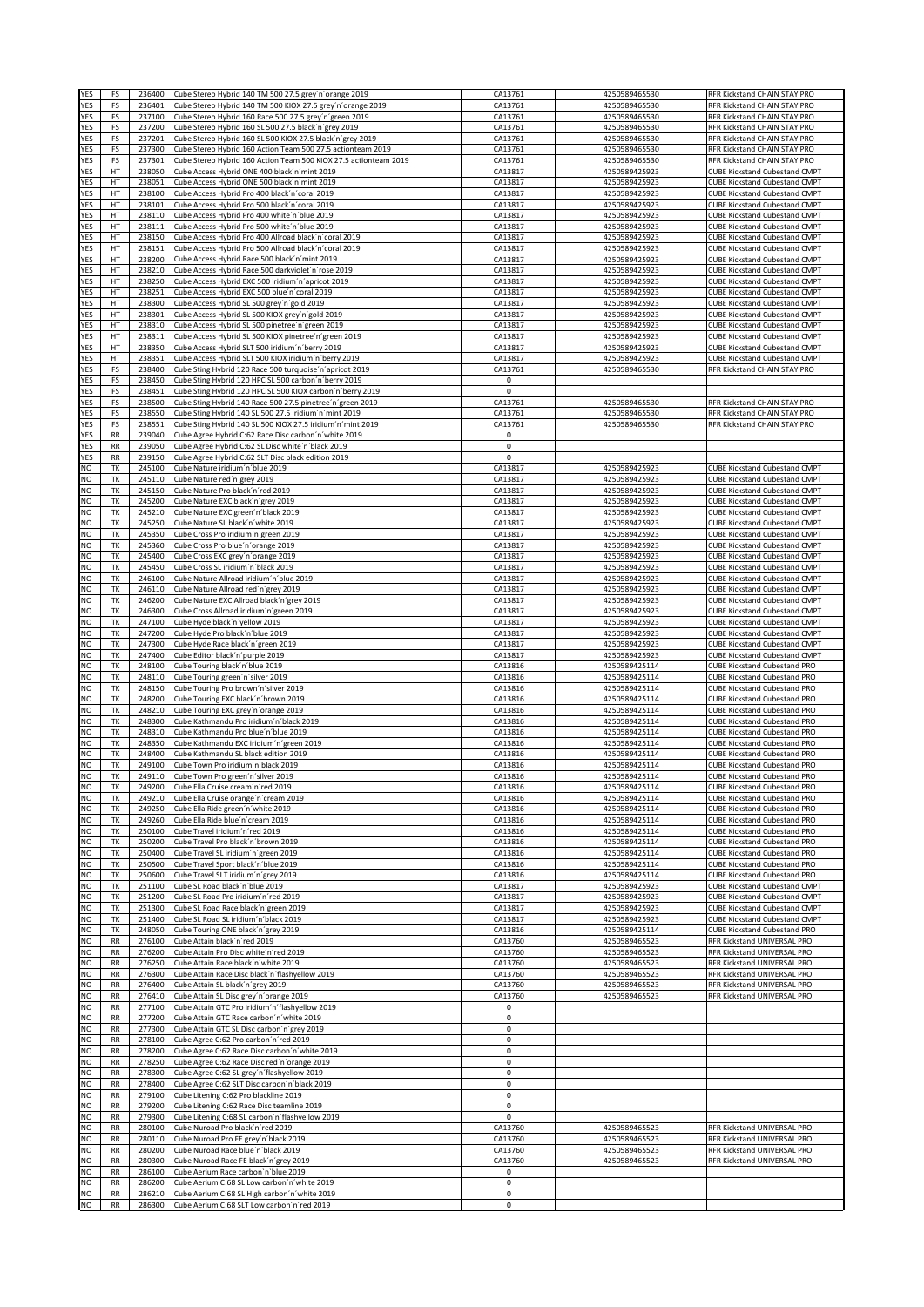| YES                    | FS                     | 236400           | Cube Stereo Hybrid 140 TM 500 27.5 grey'n'orange 2019                                                              | CA13761                | 4250589465530                  | RFR Kickstand CHAIN STAY PRO                                                 |
|------------------------|------------------------|------------------|--------------------------------------------------------------------------------------------------------------------|------------------------|--------------------------------|------------------------------------------------------------------------------|
| YES                    | FS                     | 236401           | Cube Stereo Hybrid 140 TM 500 KIOX 27.5 grey'n'orange 2019                                                         | CA13761                | 4250589465530                  | RFR Kickstand CHAIN STAY PRO                                                 |
| <b>YES</b><br>YES      | FS<br>FS               | 237100<br>237200 | Cube Stereo Hybrid 160 Race 500 27.5 grey'n' green 2019<br>Cube Stereo Hybrid 160 SL 500 27.5 black'n'grey 2019    | CA13761<br>CA13761     | 4250589465530<br>4250589465530 | RFR Kickstand CHAIN STAY PRO<br>RFR Kickstand CHAIN STAY PRO                 |
| YES                    | FS                     | 237201           | Cube Stereo Hybrid 160 SL 500 KIOX 27.5 black'n'grey 2019                                                          | CA13761                | 4250589465530                  | RFR Kickstand CHAIN STAY PRO                                                 |
| YES                    | FS                     | 237300           | Cube Stereo Hybrid 160 Action Team 500 27.5 actionteam 2019                                                        | CA13761                | 4250589465530                  | RFR Kickstand CHAIN STAY PRO                                                 |
| YES                    | FS                     | 237301           | Cube Stereo Hybrid 160 Action Team 500 KIOX 27.5 actionteam 2019                                                   | CA13761                | 4250589465530                  | RFR Kickstand CHAIN STAY PRO                                                 |
| YES<br><b>YES</b>      | HT<br>HT               | 238050<br>238051 | Cube Access Hybrid ONE 400 black'n'mint 2019<br>Cube Access Hybrid ONE 500 black'n'mint 2019                       | CA13817<br>CA13817     | 4250589425923<br>4250589425923 | <b>CUBE Kickstand Cubestand CMPT</b><br><b>CUBE Kickstand Cubestand CMPT</b> |
| <b>YES</b>             | HT                     | 238100           | Cube Access Hybrid Pro 400 black'n'coral 2019                                                                      | CA13817                | 4250589425923                  | <b>CUBE Kickstand Cubestand CMPT</b>                                         |
| YES                    | HT                     | 238101           | Cube Access Hybrid Pro 500 black'n'coral 2019                                                                      | CA13817                | 4250589425923                  | <b>CUBE Kickstand Cubestand CMPT</b>                                         |
| YES                    | HT                     | 238110           | Cube Access Hybrid Pro 400 white'n'blue 2019                                                                       | CA13817                | 4250589425923                  | <b>CUBE Kickstand Cubestand CMPT</b>                                         |
| YES                    | HT                     | 238111           | Cube Access Hybrid Pro 500 white'n'blue 2019                                                                       | CA13817                | 4250589425923                  | <b>CUBE Kickstand Cubestand CMPT</b>                                         |
| YES<br>YES             | HT<br>HT               | 238150<br>238151 | Cube Access Hybrid Pro 400 Allroad black'n'coral 2019<br>Cube Access Hybrid Pro 500 Allroad black'n'coral 2019     | CA13817<br>CA13817     | 4250589425923<br>4250589425923 | <b>CUBE Kickstand Cubestand CMPT</b><br><b>CUBE Kickstand Cubestand CMPT</b> |
| YES                    | HT                     | 238200           | Cube Access Hybrid Race 500 black'n'mint 2019                                                                      | CA13817                | 4250589425923                  | <b>CUBE Kickstand Cubestand CMPT</b>                                         |
| YES                    | HT                     | 238210           | Cube Access Hybrid Race 500 darkviolet'n'rose 2019                                                                 | CA13817                | 4250589425923                  | <b>CUBE Kickstand Cubestand CMPT</b>                                         |
| YES                    | HT                     | 238250           | Cube Access Hybrid EXC 500 iridium'n'apricot 2019<br>Cube Access Hybrid EXC 500 blue'n'coral 2019                  | CA13817                | 4250589425923                  | <b>CUBE Kickstand Cubestand CMPT</b>                                         |
| <b>YES</b><br>YES      | HT<br>HT               | 238251<br>238300 | Cube Access Hybrid SL 500 grey'n'gold 2019                                                                         | CA13817<br>CA13817     | 4250589425923<br>4250589425923 | <b>CUBE Kickstand Cubestand CMPT</b><br><b>CUBE Kickstand Cubestand CMPT</b> |
| YES                    | HT                     | 238301           | Cube Access Hybrid SL 500 KIOX grey'n'gold 2019                                                                    | CA13817                | 4250589425923                  | <b>CUBE Kickstand Cubestand CMPT</b>                                         |
| YES                    | HT                     | 238310           | Cube Access Hybrid SL 500 pinetree'n'green 2019                                                                    | CA13817                | 4250589425923                  | <b>CUBE Kickstand Cubestand CMPT</b>                                         |
| YES                    | HT                     | 238311           | Cube Access Hybrid SL 500 KIOX pinetree'n'green 2019                                                               | CA13817                | 4250589425923                  | <b>CUBE Kickstand Cubestand CMPT</b>                                         |
| YES<br>YES             | HT<br>HT               | 238350<br>238351 | Cube Access Hybrid SLT 500 iridium'n'berry 2019<br>Cube Access Hybrid SLT 500 KIOX iridium'n'berry 2019            | CA13817<br>CA13817     | 4250589425923<br>4250589425923 | <b>CUBE Kickstand Cubestand CMPT</b><br><b>CUBE Kickstand Cubestand CMPT</b> |
| YES                    | FS                     | 238400           | Cube Sting Hybrid 120 Race 500 turquoise'n'apricot 2019                                                            | CA13761                | 4250589465530                  | RFR Kickstand CHAIN STAY PRO                                                 |
| <b>YES</b>             | FS                     | 238450           | Cube Sting Hybrid 120 HPC SL 500 carbon'n'berry 2019                                                               | 0                      |                                |                                                                              |
| YES                    | FS                     | 238451           | Cube Sting Hybrid 120 HPC SL 500 KIOX carbon'n'berry 2019                                                          | 0                      |                                |                                                                              |
| YES<br>YES             | FS<br>FS               | 238500<br>238550 | Cube Sting Hybrid 140 Race 500 27.5 pinetree'n'green 2019<br>Cube Sting Hybrid 140 SL 500 27.5 iridium'n'mint 2019 | CA13761                | 4250589465530<br>4250589465530 | RFR Kickstand CHAIN STAY PRO                                                 |
| YES                    | FS                     | 238551           | Cube Sting Hybrid 140 SL 500 KIOX 27.5 iridium'n'mint 2019                                                         | CA13761<br>CA13761     | 4250589465530                  | RFR Kickstand CHAIN STAY PRO<br>RFR Kickstand CHAIN STAY PRO                 |
| YES                    | RR                     | 239040           | Cube Agree Hybrid C:62 Race Disc carbon'n'white 2019                                                               | 0                      |                                |                                                                              |
| YES                    | RR                     | 239050           | Cube Agree Hybrid C:62 SL Disc white'n'black 2019                                                                  | $\pmb{0}$              |                                |                                                                              |
| YES<br>NO              | RR<br>ТK               | 239150<br>245100 | Cube Agree Hybrid C:62 SLT Disc black edition 2019<br>Cube Nature iridium'n'blue 2019                              | $\mathbf 0$<br>CA13817 | 4250589425923                  | <b>CUBE Kickstand Cubestand CMPT</b>                                         |
| NO                     | TK                     | 245110           | Cube Nature red'n'grey 2019                                                                                        | CA13817                | 4250589425923                  | <b>CUBE Kickstand Cubestand CMPT</b>                                         |
| <b>NO</b>              | TK                     | 245150           | Cube Nature Pro black'n'red 2019                                                                                   | CA13817                | 4250589425923                  | <b>CUBE Kickstand Cubestand CMPT</b>                                         |
| NO                     | TK                     | 245200           | Cube Nature EXC black'n'grey 2019                                                                                  | CA13817                | 4250589425923                  | <b>CUBE Kickstand Cubestand CMPT</b>                                         |
| NO                     | TK                     | 245210           | Cube Nature EXC green'n'black 2019                                                                                 | CA13817                | 4250589425923                  | <b>CUBE Kickstand Cubestand CMPT</b>                                         |
| NO<br>NO               | TK<br>TK               | 245250<br>245350 | Cube Nature SL black'n'white 2019<br>Cube Cross Pro iridium'n'green 2019                                           | CA13817<br>CA13817     | 4250589425923<br>4250589425923 | <b>CUBE Kickstand Cubestand CMPT</b><br><b>CUBE Kickstand Cubestand CMPT</b> |
| NO                     | TK                     | 245360           | Cube Cross Pro blue'n'orange 2019                                                                                  | CA13817                | 4250589425923                  | <b>CUBE Kickstand Cubestand CMPT</b>                                         |
| NO                     | TK                     | 245400           | Cube Cross EXC grey'n'orange 2019                                                                                  | CA13817                | 4250589425923                  | <b>CUBE Kickstand Cubestand CMPT</b>                                         |
| NO                     | ТK                     | 245450           | Cube Cross SL iridium'n'black 2019                                                                                 | CA13817                | 4250589425923                  | <b>CUBE Kickstand Cubestand CMPT</b>                                         |
| NO<br>NO               | TK<br>TK               | 246100<br>246110 | Cube Nature Allroad iridium'n'blue 2019<br>Cube Nature Allroad red'n'grey 2019                                     | CA13817<br>CA13817     | 4250589425923<br>4250589425923 | <b>CUBE Kickstand Cubestand CMPT</b><br><b>CUBE Kickstand Cubestand CMPT</b> |
| NO                     | TK                     | 246200           | Cube Nature EXC Allroad black'n'grey 2019                                                                          | CA13817                | 4250589425923                  | <b>CUBE Kickstand Cubestand CMPT</b>                                         |
| <b>NO</b>              | TK                     | 246300           | Cube Cross Allroad iridium'n'green 2019                                                                            | CA13817                | 4250589425923                  | <b>CUBE Kickstand Cubestand CMPT</b>                                         |
| <b>NO</b>              | TK                     | 247100           | Cube Hyde black'n'yellow 2019                                                                                      | CA13817                | 4250589425923                  | <b>CUBE Kickstand Cubestand CMPT</b>                                         |
| NO<br>NO               | TK<br>TK               | 247200<br>247300 | Cube Hyde Pro black'n'blue 2019<br>Cube Hyde Race black'n'green 2019                                               | CA13817<br>CA13817     | 4250589425923<br>4250589425923 | <b>CUBE Kickstand Cubestand CMPT</b><br><b>CUBE Kickstand Cubestand CMPT</b> |
| NO                     | TK                     | 247400           | Cube Editor black'n' purple 2019                                                                                   | CA13817                | 4250589425923                  | <b>CUBE Kickstand Cubestand CMPT</b>                                         |
| N <sub>O</sub>         | TK                     | 248100           | Cube Touring black'n'blue 2019                                                                                     | CA13816                | 4250589425114                  | <b>CUBE Kickstand Cubestand PRO</b>                                          |
| NO                     | ТK                     | 248110           | Cube Touring green'n'silver 2019                                                                                   | CA13816                | 4250589425114                  | <b>CUBE Kickstand Cubestand PRO</b>                                          |
| NO<br>NO               | TK<br>TK               | 248150<br>248200 | Cube Touring Pro brown'n'silver 2019<br>Cube Touring EXC black'n'brown 2019                                        | CA13816<br>CA13816     | 4250589425114<br>4250589425114 | <b>CUBE Kickstand Cubestand PRO</b><br><b>CUBE Kickstand Cubestand PRO</b>   |
| NO                     | TK                     | 248210           | Cube Touring EXC grey'n'orange 2019                                                                                | CA13816                | 4250589425114                  | <b>CUBE Kickstand Cubestand PRO</b>                                          |
| NO                     | TK                     | 248300           | Cube Kathmandu Pro iridium'n'black 2019                                                                            | CA13816                | 4250589425114                  | <b>CUBE Kickstand Cubestand PRO</b>                                          |
| <b>NO</b>              | TK                     | 248310           | Cube Kathmandu Pro blue'n'blue 2019                                                                                | CA13816                | 4250589425114                  | <b>CUBE Kickstand Cubestand PRO</b>                                          |
| NO<br>NO               | TK<br>TK               | 248350<br>248400 | Cube Kathmandu EXC iridium'n'green 2019<br>Cube Kathmandu SL black edition 2019                                    | CA13816<br>CA13816     | 4250589425114<br>4250589425114 | <b>CUBE Kickstand Cubestand PRO</b><br><b>CUBE Kickstand Cubestand PRO</b>   |
| <b>NO</b>              | TK                     | 249100           | Cube Town Pro iridium'n'black 2019                                                                                 | CA13816                | 4250589425114                  | <b>CUBE Kickstand Cubestand PRO</b>                                          |
| <b>NO</b>              | TK                     | 249110           | Cube Town Pro green'n'silver 2019                                                                                  | CA13816                | 4250589425114                  | <b>CUBE Kickstand Cubestand PRO</b>                                          |
| <b>NO</b>              | ТK                     | 249200           | Cube Ella Cruise cream'n'red 2019                                                                                  | CA13816                | 4250589425114                  | <b>CUBE Kickstand Cubestand PRO</b>                                          |
| NO<br><b>NO</b>        | TK<br>TK               | 249210           | Cube Ella Cruise orange'n'cream 2019                                                                               | CA13816                | 4250589425114                  | <b>CUBE Kickstand Cubestand PRO</b>                                          |
| <b>NO</b>              | TK                     | 249250<br>249260 | Cube Ella Ride green'n'white 2019<br>Cube Ella Ride blue'n'cream 2019                                              | CA13816<br>CA13816     | 4250589425114<br>4250589425114 | <b>CUBE Kickstand Cubestand PRO</b><br><b>CUBE Kickstand Cubestand PRO</b>   |
| NO                     | TK                     | 250100           | Cube Travel iridium'n'red 2019                                                                                     | CA13816                | 4250589425114                  | <b>CUBE Kickstand Cubestand PRO</b>                                          |
| <b>NO</b>              | ТK                     | 250200           | Cube Travel Pro black'n'brown 2019                                                                                 | CA13816                | 4250589425114                  | <b>CUBE Kickstand Cubestand PRO</b>                                          |
| <b>NO</b><br><b>NO</b> | ТK                     | 250400<br>250500 | Cube Travel SL iridium'n'green 2019<br>Cube Travel Sport black'n'blue 2019                                         | CA13816                | 4250589425114<br>4250589425114 | <b>CUBE Kickstand Cubestand PRO</b>                                          |
| <b>NO</b>              | ТK<br>ТK               | 250600           | Cube Travel SLT iridium'n'grey 2019                                                                                | CA13816<br>CA13816     | 4250589425114                  | <b>CUBE Kickstand Cubestand PRO</b><br><b>CUBE Kickstand Cubestand PRO</b>   |
| <b>NO</b>              | TK                     | 251100           | Cube SL Road black'n'blue 2019                                                                                     | CA13817                | 4250589425923                  | <b>CUBE Kickstand Cubestand CMPT</b>                                         |
| <b>NO</b>              | TK                     | 251200           | Cube SL Road Pro iridium'n'red 2019                                                                                | CA13817                | 4250589425923                  | <b>CUBE Kickstand Cubestand CMPT</b>                                         |
| NO                     | TK                     | 251300           | Cube SL Road Race black'n'green 2019<br>Cube SL Road SL iridium'n'black 2019                                       | CA13817                | 4250589425923                  | <b>CUBE Kickstand Cubestand CMPT</b>                                         |
| NO<br>NO               | TK<br>TK               | 251400<br>248050 | Cube Touring ONE black'n'grey 2019                                                                                 | CA13817<br>CA13816     | 4250589425923<br>4250589425114 | <b>CUBE Kickstand Cubestand CMPT</b><br><b>CUBE Kickstand Cubestand PRO</b>  |
| NO                     | <b>RR</b>              | 276100           | Cube Attain black'n'red 2019                                                                                       | CA13760                | 4250589465523                  | RFR Kickstand UNIVERSAL PRO                                                  |
| NO                     | RR                     | 276200           | Cube Attain Pro Disc white'n'red 2019                                                                              | CA13760                | 4250589465523                  | RFR Kickstand UNIVERSAL PRO                                                  |
| <b>NO</b>              | RR                     | 276250           | Cube Attain Race black'n'white 2019                                                                                | CA13760                | 4250589465523                  | RFR Kickstand UNIVERSAL PRO                                                  |
| <b>NO</b><br>NO        | <b>RR</b><br><b>RR</b> | 276300<br>276400 | Cube Attain Race Disc black'n'flashyellow 2019<br>Cube Attain SL black'n'grey 2019                                 | CA13760<br>CA13760     | 4250589465523<br>4250589465523 | RFR Kickstand UNIVERSAL PRO<br>RFR Kickstand UNIVERSAL PRO                   |
| NO                     | RR                     | 276410           | Cube Attain SL Disc grey'n'orange 2019                                                                             | CA13760                | 4250589465523                  | RFR Kickstand UNIVERSAL PRO                                                  |
| <b>NO</b>              | <b>RR</b>              | 277100           | Cube Attain GTC Pro iridium'n'flashyellow 2019                                                                     | 0                      |                                |                                                                              |
| <b>NO</b>              | <b>RR</b>              | 277200           | Cube Attain GTC Race carbon'n'white 2019                                                                           | $\pmb{0}$              |                                |                                                                              |
| <b>NO</b><br>NO        | <b>RR</b><br>RR        | 277300<br>278100 | Cube Attain GTC SL Disc carbon'n'grey 2019<br>Cube Agree C:62 Pro carbon'n'red 2019                                | $\mathsf 0$<br>0       |                                |                                                                              |
| NO                     | RR                     | 278200           | Cube Agree C:62 Race Disc carbon'n'white 2019                                                                      | 0                      |                                |                                                                              |
| NO                     | <b>RR</b>              | 278250           | Cube Agree C:62 Race Disc red'n'orange 2019                                                                        | 0                      |                                |                                                                              |
| NO                     | <b>RR</b>              | 278300           | Cube Agree C:62 SL grey'n'flashyellow 2019                                                                         | 0                      |                                |                                                                              |
| NO<br><b>NO</b>        | <b>RR</b><br><b>RR</b> | 278400<br>279100 | Cube Agree C:62 SLT Disc carbon'n'black 2019                                                                       | 0<br>0                 |                                |                                                                              |
| NO                     | <b>RR</b>              | 279200           | Cube Litening C:62 Pro blackline 2019<br>Cube Litening C:62 Race Disc teamline 2019                                | 0                      |                                |                                                                              |
| NO                     | RR                     | 279300           | Cube Litening C:68 SL carbon'n'flashyellow 2019                                                                    | 0                      |                                |                                                                              |
| <b>NO</b>              | <b>RR</b>              | 280100           | Cube Nuroad Pro black'n'red 2019                                                                                   | CA13760                | 4250589465523                  | RFR Kickstand UNIVERSAL PRO                                                  |
| NO<br>NO               | <b>RR</b><br>RR        | 280110           | Cube Nuroad Pro FE grey'n'black 2019                                                                               | CA13760                | 4250589465523                  | RFR Kickstand UNIVERSAL PRO                                                  |
| <b>NO</b>              | <b>RR</b>              | 280200<br>280300 | Cube Nuroad Race blue'n'black 2019<br>Cube Nuroad Race FE black'n'grey 2019                                        | CA13760<br>CA13760     | 4250589465523<br>4250589465523 | RFR Kickstand UNIVERSAL PRO<br>RFR Kickstand UNIVERSAL PRO                   |
| NO                     | RR                     | 286100           | Cube Aerium Race carbon'n'blue 2019                                                                                | 0                      |                                |                                                                              |
| <b>NO</b>              | <b>RR</b>              | 286200           | Cube Aerium C:68 SL Low carbon'n'white 2019                                                                        | 0                      |                                |                                                                              |
| NO                     | <b>RR</b>              | 286210           | Cube Aerium C:68 SL High carbon'n'white 2019                                                                       | 0                      |                                |                                                                              |
| <b>NO</b>              | <b>RR</b>              | 286300           | Cube Aerium C:68 SLT Low carbon'n'red 2019                                                                         | 0                      |                                |                                                                              |